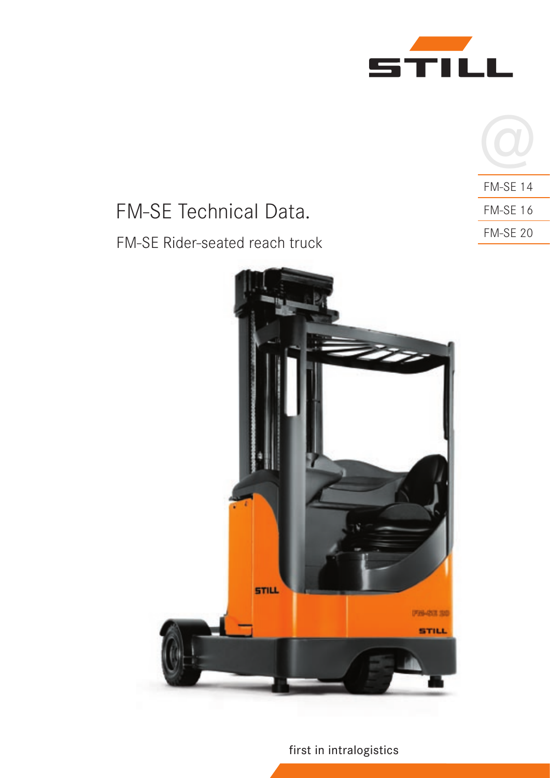

| <b>FM-SE 14</b> |
|-----------------|
| <b>FM-SE 16</b> |
| <b>FM-SE 20</b> |

# FM-SE Technical Data. FM-SE Rider-seated reach truck



first in intralogistics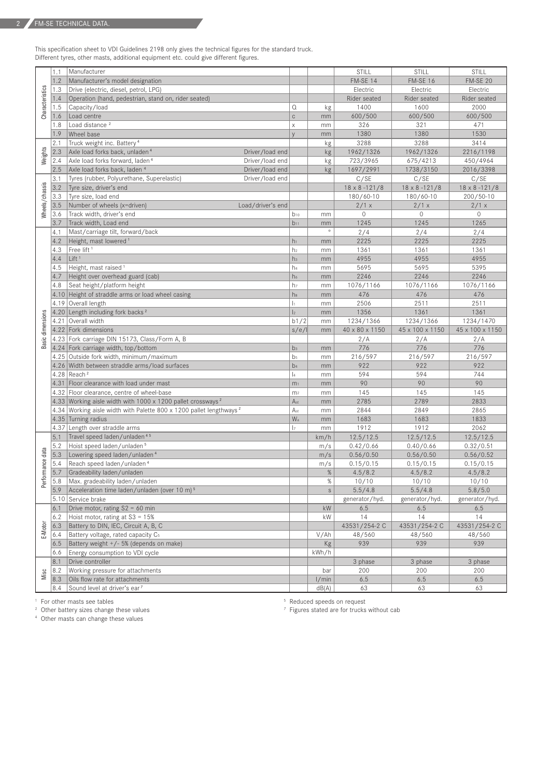This specification sheet to VDI Guidelines 2198 only gives the technical figures for the standard truck. Different tyres, other masts, additional equipment etc. could give different figures.

|                  | 1.1  | Manufacturer                                                                    |                |             | STILL                 | STILL                 | STILL                 |
|------------------|------|---------------------------------------------------------------------------------|----------------|-------------|-----------------------|-----------------------|-----------------------|
|                  | 1.2  | Manufacturer's model designation                                                |                |             | FM-SE 14              | <b>FM-SE 16</b>       | <b>FM-SE 20</b>       |
|                  | 1.3  | Drive (electric, diesel, petrol, LPG)                                           |                |             | Electric              | Electric              | Electric              |
| Characteristics  | 1.4  | Operation (hand, pedestrian, stand on, rider seated)                            |                |             | Rider seated          | Rider seated          | Rider seated          |
|                  | 1.5  | Capacity/load                                                                   | Q              |             | 1400                  | 1600                  | 2000                  |
|                  | 1.6  | Load centre                                                                     | $\mathbb C$    | kg<br>mm    | 600/500               | 600/500               | 600/500               |
|                  |      | Load distance <sup>2</sup>                                                      |                |             | 326                   | 321                   | 471                   |
|                  | 1.8  |                                                                                 | $\mathsf X$    | mm          |                       |                       |                       |
|                  | 1.9  | Wheel base                                                                      | $\vee$         | mm          | 1380                  | 1380                  | 1530                  |
|                  | 2.1  | Truck weight inc. Battery <sup>4</sup>                                          |                | kg          | 3288                  | 3288                  | 3414                  |
| Weights          | 2.3  | Axle load forks back, unladen <sup>4</sup><br>Driver/load end                   |                | kg          | 1962/1326             | 1962/1326             | 2216/1198             |
|                  | 2.4  | Axle load forks forward, laden <sup>4</sup><br>Driver/load end                  |                | kg          | 723/3965              | 675/4213              | 450/4964              |
|                  | 2.5  | Axle load forks back, laden 4<br>Driver/load end                                |                | kg          | 1697/2991             | 1738/3150             | 2016/3398             |
|                  | 3.1  | Tyres (rubber, Polyurethane, Superelastic)<br>Driver/load end                   |                |             | C/SE                  | C/SE                  | C/SE                  |
| Wheels/chassis   | 3.2  | Tyre size, driver's end                                                         |                |             | $18 \times 8 - 121/8$ | $18 \times 8 - 121/8$ | $18 \times 8 - 121/8$ |
|                  | 3.3  | Tyre size, load end                                                             |                |             | 180/60-10             | 180/60-10             | $200/50 - 10$         |
|                  | 3.5  | Number of wheels (x=driven)<br>Load/driver's end                                |                |             | 2/1 x                 | 2/1 x                 | 2/1 x                 |
|                  | 3.6  | Track width, driver's end                                                       | $b_{10}$       | mm          | $\mathbf 0$           | $\mathbf 0$           | $\mathsf{O}\xspace$   |
|                  | 3.7  | Track width, Load end                                                           | $b_{11}$       | mm          | 1245                  | 1245                  | 1265                  |
|                  | 4.1  | Mast/carriage tilt, forward/back                                                |                | $\circ$     | 2/4                   | 2/4                   | 2/4                   |
|                  | 4.2  | Height, mast lowered <sup>1</sup>                                               | h <sub>1</sub> | mm          | 2225                  | 2225                  | 2225                  |
|                  | 4.3  | Free lift <sup>1</sup>                                                          | h <sub>2</sub> | mm          | 1361                  | 1361                  | 1361                  |
|                  | 4.4  | Lift <sup>1</sup>                                                               | h <sub>3</sub> | mm          | 4955                  | 4955                  | 4955                  |
|                  | 4.5  | Height, mast raised <sup>1</sup>                                                | h <sub>4</sub> | mm          | 5695                  | 5695                  | 5395                  |
|                  | 4.7  | Height over overhead guard (cab)                                                | h <sub>6</sub> | mm          | 2246                  | 2246                  | 2246                  |
|                  | 4.8  | Seat height/platform height                                                     | h <sub>7</sub> | mm          | 1076/1166             | 1076/1166             | 1076/1166             |
|                  |      | 4.10 Height of straddle arms or load wheel casing                               | h <sub>8</sub> | mm          | 476                   | 476                   | 476                   |
|                  |      | 4.19 Overall length                                                             | $\mathbf{L}$   | mm          | 2506                  | 2511                  | 2511                  |
|                  |      | 4.20 Length including fork backs <sup>2</sup>                                   | $\vert_2$      | mm          | 1356                  | 1361                  | 1361                  |
|                  | 4.21 | Overall width                                                                   | b1/2           |             | 1234/1366             | 1234/1366             | 1234/1470             |
|                  |      | 4.22 Fork dimensions                                                            |                | mm          | 40 x 80 x 1150        | 45 x 100 x 1150       | 45 x 100 x 1150       |
| Basic dimensions |      | 4.23 Fork carriage DIN 15173, Class/Form A, B                                   | s/e/           | mm          | 2/A                   | 2/A                   |                       |
|                  |      |                                                                                 |                |             | 776                   | 776                   | 2/A<br>776            |
|                  |      | 4.24 Fork carriage width, top/bottom                                            | b <sub>3</sub> | mm          |                       |                       |                       |
|                  |      | 4.25 Outside fork width, minimum/maximum                                        | b <sub>5</sub> | mm          | 216/597               | 216/597               | 216/597               |
|                  |      | 4.26 Width between straddle arms/load surfaces                                  | b <sub>4</sub> | mm          | 922                   | 922                   | 922                   |
|                  |      | 4.28 Reach <sup>2</sup>                                                         | $\vert_4$      | mm          | 594                   | 594                   | 744                   |
|                  |      | 4.31 Floor clearance with load under mast                                       | m <sub>1</sub> | mm          | 90                    | 90                    | 90                    |
|                  |      | 4.32 Floor clearance, centre of wheel-base                                      | m <sub>2</sub> | mm          | 145                   | 145                   | 145                   |
|                  |      | 4.33 Working aisle width with 1000 x 1200 pallet crossways <sup>2</sup>         | Ast            | mm          | 2785                  | 2789                  | 2833                  |
|                  |      | 4.34 Working aisle width with Palette 800 x 1200 pallet lengthways <sup>2</sup> | Ast            | mm          | 2844                  | 2849                  | 2865                  |
|                  |      | 4.35 Turning radius                                                             | W <sub>a</sub> | mm          | 1683                  | 1683                  | 1833                  |
|                  |      | 4.37 Length over straddle arms                                                  | $\vert$        | mm          | 1912                  | 1912                  | 2062                  |
|                  | 5.1  | Travel speed laden/unladen <sup>45</sup>                                        |                | km/h        | 12.5/12.5             | 12.5/12.5             | 12.5/12.5             |
|                  | 5.2  | Hoist speed laden/unladen <sup>5</sup>                                          |                | m/s         | 0.42/0.66             | 0.40/0.66             | 0.32/0.51             |
|                  | 5.3  | Lowering speed laden/unladen <sup>4</sup>                                       |                | m/s         | 0.56/0.50             | 0.56/0.50             | 0.56/0.52             |
|                  | 5.4  | Reach speed laden/unladen <sup>4</sup>                                          |                | m/s         | 0.15/0.15             | 0.15/0.15             | 0.15/0.15             |
| ormance data     | 5.7  | Gradeability laden/unladen                                                      |                | $\%$        | 4.5/8.2               | 4.5/8.2               | 4.5/8.2               |
| ෫                | 5.8  | Max. gradeability laden/unladen                                                 |                | $\%$        | 10/10                 | 10/10                 | 10/10                 |
|                  | 5.9  | Acceleration time laden/unladen (over 10 m) <sup>5</sup>                        |                | $\mathbb S$ | 5.5/4.8               | 5.5/4.8               | 5.8/5.0               |
|                  |      | 5.10 Service brake                                                              |                |             | generator/hyd.        | generator/hyd.        | generator/hyd.        |
|                  | 6.1  | Drive motor, rating S2 = 60 min                                                 |                | kW          | 6.5                   | 6.5                   | 6.5                   |
|                  | 6.2  | Hoist motor, rating at $S3 = 15\%$                                              |                | kW          | 14                    | 14                    | 14                    |
| E-Motor          | 6.3  | Battery to DIN, IEC, Circuit A, B, C                                            |                |             | 43531/254-2 C         | 43531/254-2 C         | 43531/254-2 C         |
|                  | 6.4  | Battery voltage, rated capacity C <sub>5</sub>                                  |                | V/Ah        | 48/560                | 48/560                | 48/560                |
|                  | 6.5  | Battery weight +/- 5% (depends on make)                                         |                |             | 939                   | 939                   | 939                   |
|                  | 6.6  | Energy consumption to VDI cycle                                                 |                | Kg<br>kWh/h |                       |                       |                       |
| Misc             | 8.1  | Drive controller                                                                |                |             | 3 phase               | 3 phase               | 3 phase               |
|                  | 8.2  | Working pressure for attachments                                                |                | bar         | 200                   | 200                   | 200                   |
|                  | 8.3  | Oils flow rate for attachments                                                  |                | 1/min       | 6.5                   | 6.5                   | 6.5                   |
|                  | 8.4  | Sound level at driver's ear <sup>7</sup>                                        |                | dB(A)       | 63                    | 63                    | 63                    |

<sup>1</sup> For other masts see tables

<sup>2</sup> Other battery sizes change these values 4 Other masts can change these values

5 Reduced speeds on request

7 Figures stated are for trucks without cab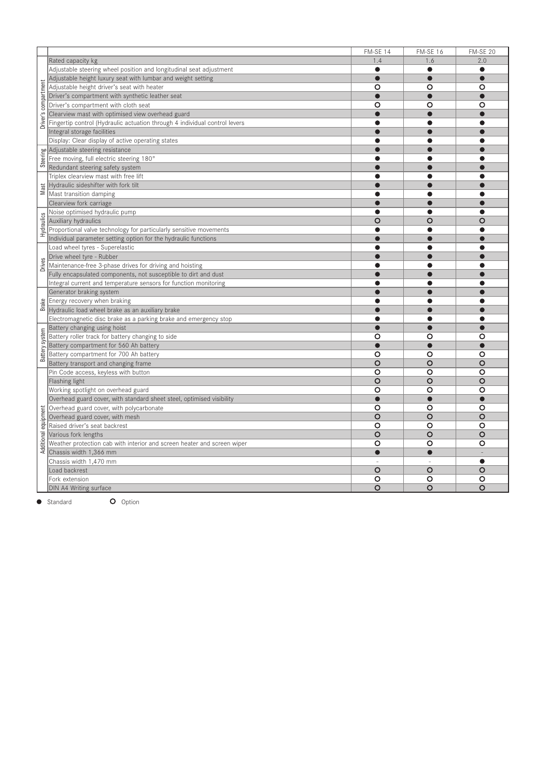|                      |                                                                            | FM-SE 14  | <b>FM-SE 16</b> | <b>FM-SE 20</b> |
|----------------------|----------------------------------------------------------------------------|-----------|-----------------|-----------------|
|                      | Rated capacity kg                                                          | 1.4       | 1.6             | 2.0             |
|                      | Adjustable steering wheel position and longitudinal seat adjustment        | ●         | e               | $\bullet$       |
|                      | Adjustable height luxury seat with lumbar and weight setting               |           |                 | $\bullet$       |
| Driver's compartment | Adjustable height driver's seat with heater                                | O         | O               | O               |
|                      | Driver's compartment with synthetic leather seat                           |           |                 |                 |
|                      | Driver's compartment with cloth seat                                       | O         | O               | O               |
|                      | Clearview mast with optimised view overhead guard                          |           |                 |                 |
|                      | Fingertip control (Hydraulic actuation through 4 individual control levers | ●         | e               | e               |
|                      | Integral storage facilities                                                |           |                 |                 |
|                      | Display: Clear display of active operating states                          | æ         |                 |                 |
|                      | Adjustable steering resistance                                             |           |                 |                 |
| Steering             | Free moving, full electric steering 180°                                   | æ         |                 |                 |
|                      | Redundant steering safety system                                           |           |                 |                 |
|                      | Triplex clearview mast with free lift                                      |           |                 |                 |
|                      | Hydraulic sideshifter with fork tilt                                       |           |                 |                 |
| Mast                 | Mast transition damping                                                    | ●         |                 |                 |
|                      | Clearview fork carriage                                                    |           |                 |                 |
|                      | Noise optimised hydraulic pump                                             | ●         | ●               | e               |
|                      | Auxiliary hydraulics                                                       | O         | O               | O               |
| Hydraulics           | Proportional valve technology for particularly sensitive movements         | ●         | ●               | e               |
|                      | Individual parameter setting option for the hydraulic functions            |           |                 |                 |
|                      | Load wheel tyres - Superelastic                                            | ●         | e               |                 |
|                      | Drive wheel tyre - Rubber                                                  |           |                 |                 |
| Drives               | Maintenance-free 3-phase drives for driving and hoisting                   | ●         | Æ               |                 |
|                      | Fully encapsulated components, not susceptible to dirt and dust            |           |                 |                 |
|                      | Integral current and temperature sensors for function monitoring           | e         |                 |                 |
|                      | Generator braking system                                                   |           |                 |                 |
|                      | Energy recovery when braking                                               | Δ         |                 |                 |
| <b>Brake</b>         | Hydraulic load wheel brake as an auxiliary brake                           |           |                 |                 |
|                      | Electromagnetic disc brake as a parking brake and emergency stop           | ●         | ●               | 6               |
|                      | Battery changing using hoist                                               | $\bullet$ |                 |                 |
|                      | Battery roller track for battery changing to side                          | O         | O               | O               |
|                      | Battery compartment for 560 Ah battery                                     | $\bullet$ | $\bullet$       |                 |
| Battery system       | Battery compartment for 700 Ah battery                                     | O         | O               | O               |
|                      | Battery transport and changing frame                                       | $\circ$   | O               | O               |
|                      | Pin Code access, keyless with button                                       | $\circ$   | $\circ$         | O               |
|                      | Flashing light                                                             | $\circ$   | O               | O               |
|                      | Working spotlight on overhead guard                                        | O         | O               | O               |
|                      | Overhead guard cover, with standard sheet steel, optimised visibility      | $\bullet$ | $\bullet$       | $\bullet$       |
| Additional equipment | Overhead guard cover, with polycarbonate                                   | O         | O               | O               |
|                      | Overhead guard cover, with mesh                                            | $\circ$   | O               | $\circ$         |
|                      | Raised driver's seat backrest                                              | O         | O               | O               |
|                      | Various fork lengths                                                       | $\circ$   | O               | O               |
|                      | Weather protection cab with interior and screen heater and screen wiper    | $\circ$   | O               | O               |
|                      | Chassis width 1,366 mm                                                     | $\bullet$ | $\bullet$       |                 |
|                      | Chassis width 1,470 mm                                                     |           |                 | $\bullet$       |
|                      | Load backrest                                                              | $\circ$   | O               | O               |
|                      | Fork extension                                                             | O         | O               | O               |
|                      | DIN A4 Writing surface                                                     | O         | O               | O               |

● Standard **O** Option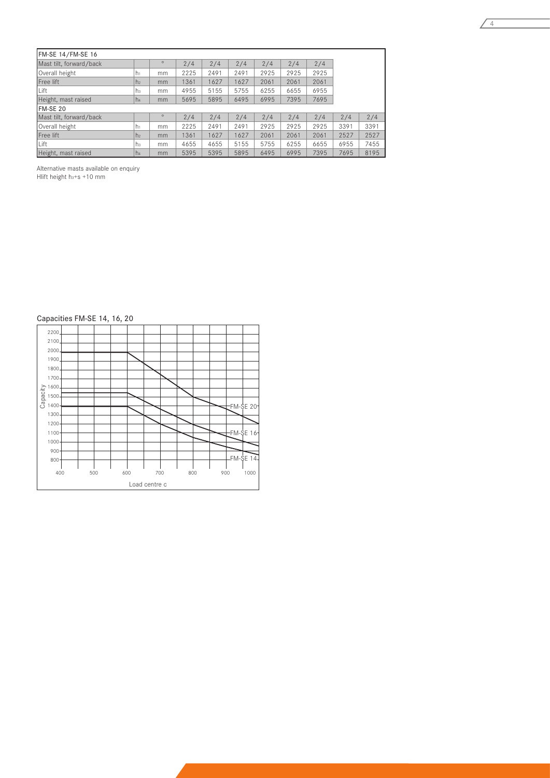| FM-SE 14/FM-SE 16       |                |         |      |      |      |      |      |      |      |      |
|-------------------------|----------------|---------|------|------|------|------|------|------|------|------|
| Mast tilt, forward/back |                | $\circ$ | 2/4  | 2/4  | 2/4  | 2/4  | 2/4  | 2/4  |      |      |
| Overall height          | i hi           | mm      | 2225 | 2491 | 2491 | 2925 | 2925 | 2925 |      |      |
| Free lift               | h <sub>2</sub> | mm      | 1361 | 1627 | 627  | 2061 | 2061 | 2061 |      |      |
| Lift                    | lhз            | mm      | 4955 | 5155 | 5755 | 6255 | 6655 | 6955 |      |      |
| Height, mast raised     | h <sub>4</sub> | mm      | 5695 | 5895 | 6495 | 6995 | 7395 | 7695 |      |      |
| <b>IFM-SE 20</b>        |                |         |      |      |      |      |      |      |      |      |
| Mast tilt, forward/back |                | $\circ$ | 2/4  | 2/4  | 2/4  | 2/4  | 2/4  | 2/4  | 2/4  | 2/4  |
| Overall height          | h.             | mm      | 2225 | 2491 | 2491 | 2925 | 2925 | 2925 | 3391 | 3391 |
| Free lift               | h <sub>2</sub> | mm      | 1361 | 1627 | 627  | 2061 | 2061 | 2061 | 2527 | 2527 |
| Lift                    | ıhз            | mm      | 4655 | 4655 | 5155 | 5755 | 6255 | 6655 | 6955 | 7455 |
| Height, mast raised     | h <sub>4</sub> | mm      | 5395 | 5395 | 5895 | 6495 | 6995 | 7395 | 7695 | 8195 |

 $\sqrt{4}$ 

Alternative masts available on enquiry

Hlift height h<sub>3</sub>+s +10 mm

# Capacities FM-SE 14, 16, 20

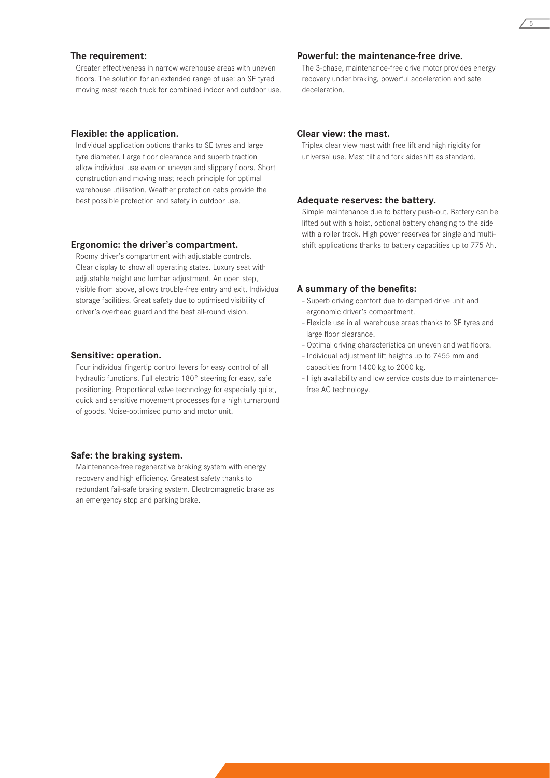#### **The requirement:**

Greater effectiveness in narrow warehouse areas with uneven floors. The solution for an extended range of use: an SE tyred moving mast reach truck for combined indoor and outdoor use.

#### **Flexible: the application.**

Individual application options thanks to SE tyres and large tyre diameter. Large floor clearance and superb traction allow individual use even on uneven and slippery floors. Short construction and moving mast reach principle for optimal warehouse utilisation. Weather protection cabs provide the best possible protection and safety in outdoor use.

#### **Ergonomic: the driver's compartment.**

Roomy driver's compartment with adjustable controls. Clear display to show all operating states. Luxury seat with adjustable height and lumbar adjustment. An open step, visible from above, allows trouble-free entry and exit. Individual storage facilities. Great safety due to optimised visibility of driver's overhead guard and the best all-round vision.

#### **Sensitive: operation.**

Four individual fingertip control levers for easy control of all hydraulic functions. Full electric 180° steering for easy, safe positioning. Proportional valve technology for especially quiet, quick and sensitive movement processes for a high turnaround of goods. Noise-optimised pump and motor unit.

#### **Safe: the braking system.**

Maintenance-free regenerative braking system with energy recovery and high efficiency. Greatest safety thanks to redundant fail-safe braking system. Electromagnetic brake as an emergency stop and parking brake.

# **Powerful: the maintenance-free drive.**

The 3-phase, maintenance-free drive motor provides energy recovery under braking, powerful acceleration and safe deceleration.

#### **Clear view: the mast.**

Triplex clear view mast with free lift and high rigidity for universal use. Mast tilt and fork sideshift as standard.

## **Adequate reserves: the battery.**

Simple maintenance due to battery push-out. Battery can be lifted out with a hoist, optional battery changing to the side with a roller track. High power reserves for single and multishift applications thanks to battery capacities up to 775 Ah.

## **A summary of the benefits:**

- Superb driving comfort due to damped drive unit and ergonomic driver's compartment.
- Flexible use in all warehouse areas thanks to SE tyres and large floor clearance.
- Optimal driving characteristics on uneven and wet floors.
- Individual adjustment lift heights up to 7455 mm and capacities from 1400 kg to 2000 kg.
- High availability and low service costs due to maintenancefree AC technology.